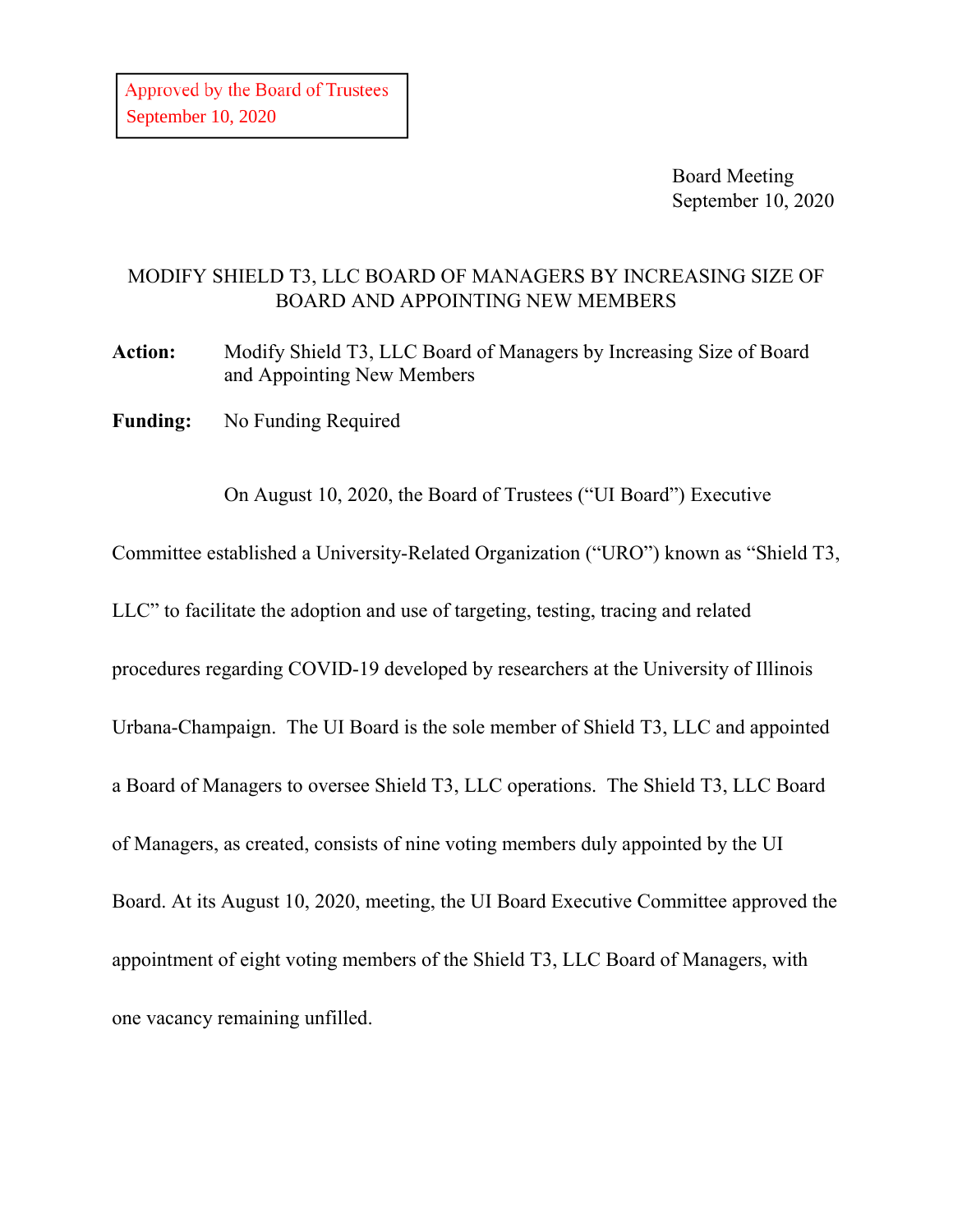Board Meeting September 10, 2020

## MODIFY SHIELD T3, LLC BOARD OF MANAGERS BY INCREASING SIZE OF BOARD AND APPOINTING NEW MEMBERS

**Action:** Modify Shield T3, LLC Board of Managers by Increasing Size of Board and Appointing New Members

**Funding:** No Funding Required

On August 10, 2020, the Board of Trustees ("UI Board") Executive

Committee established a University-Related Organization ("URO") known as "Shield T3,

LLC" to facilitate the adoption and use of targeting, testing, tracing and related

procedures regarding COVID-19 developed by researchers at the University of Illinois

Urbana-Champaign. The UI Board is the sole member of Shield T3, LLC and appointed

a Board of Managers to oversee Shield T3, LLC operations. The Shield T3, LLC Board

of Managers, as created, consists of nine voting members duly appointed by the UI

Board. At its August 10, 2020, meeting, the UI Board Executive Committee approved the

appointment of eight voting members of the Shield T3, LLC Board of Managers, with

one vacancy remaining unfilled.